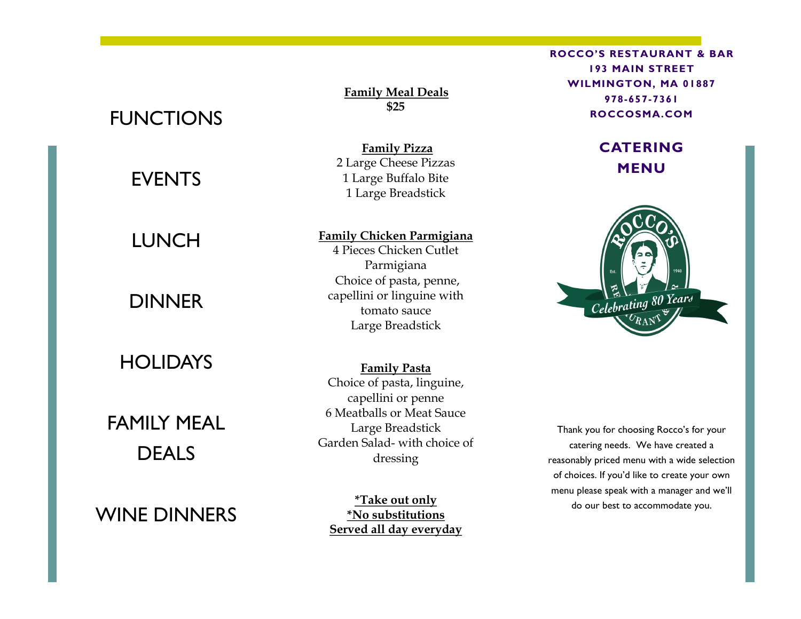# FUNCTIONS

# EVENTS

### LUNCH

# **DINNER**

#### **HOLIDAYS**

FAMILY MEAL DEAL<sub>S</sub>

WINE DINNERS

**Family Meal Deals \$25**

**Family Pizza** 2 Large Cheese Pizzas 1 Large Buffalo Bite 1 Large Breadstick

#### **Family Chicken Parmigiana**

4 Pieces Chicken Cutlet Parmigiana Choice of pasta, penne, capellini or linguine with tomato sauce Large Breadstick

**Family Pasta** Choice of pasta, linguine, capellini or penne 6 Meatballs or Meat Sauce Large Breadstick Garden Salad- with choice of dressing

**\*Take out only \*No substitutions Served all day everyday** **ROCCO'S RESTAURANT & BAR 193 MAIN STREET WILMINGTON, MA 01887 978-657-7361 ROCCOSMA.COM**

#### **CATERING MENU**



Thank you for choosing Rocco's for your catering needs. We have created a reasonably priced menu with a wide selection of choices. If you'd like to create your own menu please speak with a manager and we'll do our best to accommodate you.